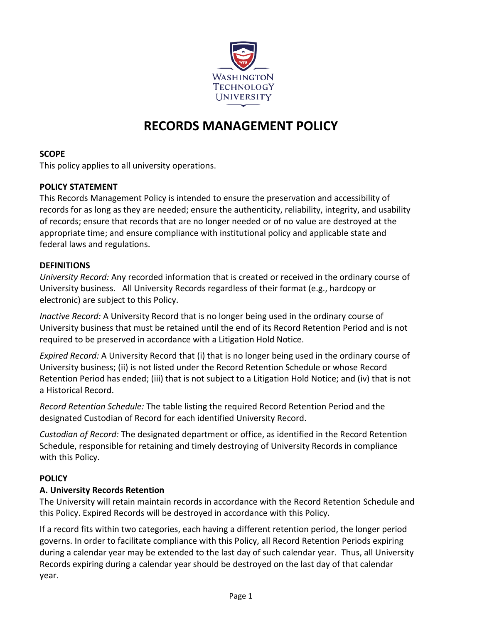

# **RECORDS MANAGEMENT POLICY**

#### **SCOPE**

This policy applies to all university operations.

#### **POLICY STATEMENT**

This Records Management Policy is intended to ensure the preservation and accessibility of records for as long as they are needed; ensure the authenticity, reliability, integrity, and usability of records; ensure that records that are no longer needed or of no value are destroyed at the appropriate time; and ensure compliance with institutional policy and applicable state and federal laws and regulations.

#### **DEFINITIONS**

*University Record:* Any recorded information that is created or received in the ordinary course of University business. All University Records regardless of their format (e.g., hardcopy or electronic) are subject to this Policy.

*Inactive Record:* A University Record that is no longer being used in the ordinary course of University business that must be retained until the end of its Record Retention Period and is not required to be preserved in accordance with a Litigation Hold Notice.

*Expired Record:* A University Record that (i) that is no longer being used in the ordinary course of University business; (ii) is not listed under the Record Retention Schedule or whose Record Retention Period has ended; (iii) that is not subject to a Litigation Hold Notice; and (iv) that is not a Historical Record.

*Record Retention Schedule:* The table listing the required Record Retention Period and the designated Custodian of Record for each identified University Record.

*Custodian of Record:* The designated department or office, as identified in the Record Retention Schedule, responsible for retaining and timely destroying of University Records in compliance with this Policy.

#### **POLICY**

#### **A. University Records Retention**

The University will retain maintain records in accordance with the Record Retention Schedule and this Policy. Expired Records will be destroyed in accordance with this Policy.

If a record fits within two categories, each having a different retention period, the longer period governs. In order to facilitate compliance with this Policy, all Record Retention Periods expiring during a calendar year may be extended to the last day of such calendar year. Thus, all University Records expiring during a calendar year should be destroyed on the last day of that calendar year.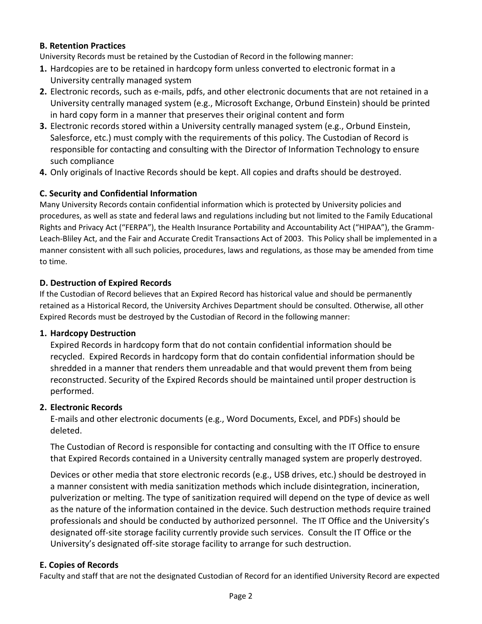#### **B. Retention Practices**

University Records must be retained by the Custodian of Record in the following manner:

- **1.** Hardcopies are to be retained in hardcopy form unless converted to electronic format in a University centrally managed system
- **2.** Electronic records, such as e-mails, pdfs, and other electronic documents that are not retained in a University centrally managed system (e.g., Microsoft Exchange, Orbund Einstein) should be printed in hard copy form in a manner that preserves their original content and form
- **3.** Electronic records stored within a University centrally managed system (e.g., Orbund Einstein, Salesforce, etc.) must comply with the requirements of this policy. The Custodian of Record is responsible for contacting and consulting with the Director of Information Technology to ensure such compliance
- **4.** Only originals of Inactive Records should be kept. All copies and drafts should be destroyed.

#### **C. Security and Confidential Information**

Many University Records contain confidential information which is protected by University policies and procedures, as well as state and federal laws and regulations including but not limited to the Family Educational Rights and Privacy Act ("FERPA"), the Health Insurance Portability and Accountability Act ("HIPAA"), the Gramm-Leach-Bliley Act, and the Fair and Accurate Credit Transactions Act of 2003. This Policy shall be implemented in a manner consistent with all such policies, procedures, laws and regulations, as those may be amended from time to time.

#### **D. Destruction of Expired Records**

If the Custodian of Record believes that an Expired Record has historical value and should be permanently retained as a Historical Record, the University Archives Department should be consulted. Otherwise, all other Expired Records must be destroyed by the Custodian of Record in the following manner:

#### **1. Hardcopy Destruction**

Expired Records in hardcopy form that do not contain confidential information should be recycled. Expired Records in hardcopy form that do contain confidential information should be shredded in a manner that renders them unreadable and that would prevent them from being reconstructed. Security of the Expired Records should be maintained until proper destruction is performed.

#### **2. Electronic Records**

E-mails and other electronic documents (e.g., Word Documents, Excel, and PDFs) should be deleted.

The Custodian of Record is responsible for contacting and consulting with the IT Office to ensure that Expired Records contained in a University centrally managed system are properly destroyed.

Devices or other media that store electronic records (e.g., USB drives, etc.) should be destroyed in a manner consistent with media sanitization methods which include disintegration, incineration, pulverization or melting. The type of sanitization required will depend on the type of device as well as the nature of the information contained in the device. Such destruction methods require trained professionals and should be conducted by authorized personnel. The IT Office and the University's designated off-site storage facility currently provide such services. Consult the IT Office or the University's designated off-site storage facility to arrange for such destruction.

#### **E. Copies of Records**

Faculty and staff that are not the designated Custodian of Record for an identified University Record are expected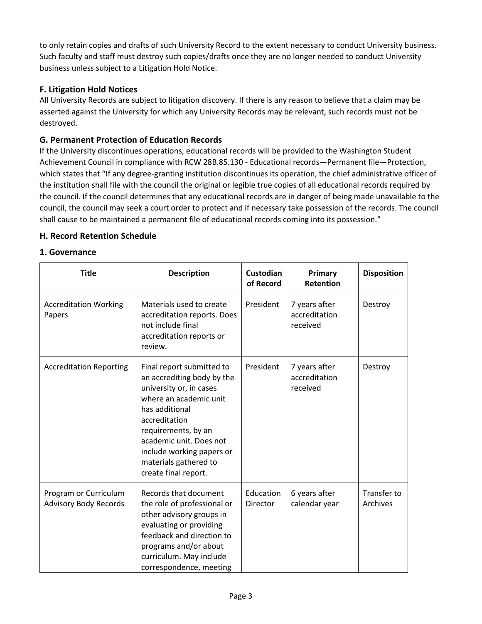to only retain copies and drafts of such University Record to the extent necessary to conduct University business. Such faculty and staff must destroy such copies/drafts once they are no longer needed to conduct University business unless subject to a Litigation Hold Notice.

#### **F. Litigation Hold Notices**

All University Records are subject to litigation discovery. If there is any reason to believe that a claim may be asserted against the University for which any University Records may be relevant, such records must not be destroyed.

#### **G. Permanent Protection of Education Records**

If the University discontinues operations, educational records will be provided to the Washington Student Achievement Council in compliance with RCW 28B.85.130 - Educational records—Permanent file—Protection, which states that "If any degree-granting institution discontinues its operation, the chief administrative officer of the institution shall file with the council the original or legible true copies of all educational records required by the council. If the council determines that any educational records are in danger of being made unavailable to the council, the council may seek a court order to protect and if necessary take possession of the records. The council shall cause to be maintained a permanent file of educational records coming into its possession."

#### **H. Record Retention Schedule**

#### **1. Governance**

| <b>Title</b>                                          | <b>Description</b>                                                                                                                                                                                                                                                              | Custodian<br>of Record | Primary<br>Retention                       | <b>Disposition</b>      |
|-------------------------------------------------------|---------------------------------------------------------------------------------------------------------------------------------------------------------------------------------------------------------------------------------------------------------------------------------|------------------------|--------------------------------------------|-------------------------|
| <b>Accreditation Working</b><br>Papers                | Materials used to create<br>accreditation reports. Does<br>not include final<br>accreditation reports or<br>review.                                                                                                                                                             | President              | 7 years after<br>accreditation<br>received | Destroy                 |
| <b>Accreditation Reporting</b>                        | Final report submitted to<br>an accrediting body by the<br>university or, in cases<br>where an academic unit<br>has additional<br>accreditation<br>requirements, by an<br>academic unit. Does not<br>include working papers or<br>materials gathered to<br>create final report. | President              | 7 years after<br>accreditation<br>received | Destroy                 |
| Program or Curriculum<br><b>Advisory Body Records</b> | Records that document<br>the role of professional or<br>other advisory groups in<br>evaluating or providing<br>feedback and direction to<br>programs and/or about<br>curriculum. May include<br>correspondence, meeting                                                         | Education<br>Director  | 6 years after<br>calendar year             | Transfer to<br>Archives |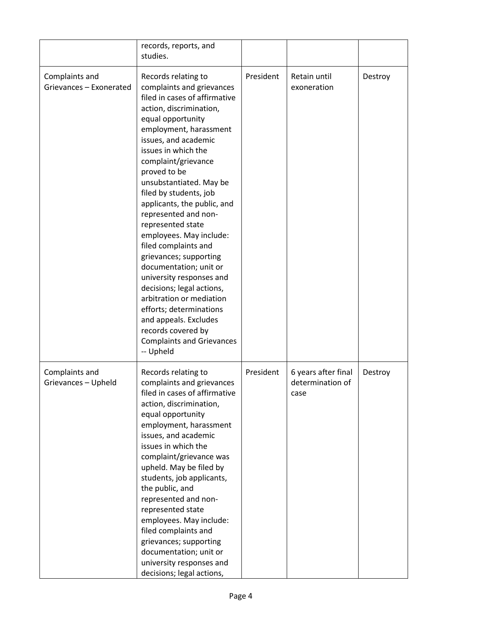|                                           | records, reports, and<br>studies.                                                                                                                                                                                                                                                                                                                                                                                                                                                                                                                                                                                                                                                                         |           |                                                 |         |
|-------------------------------------------|-----------------------------------------------------------------------------------------------------------------------------------------------------------------------------------------------------------------------------------------------------------------------------------------------------------------------------------------------------------------------------------------------------------------------------------------------------------------------------------------------------------------------------------------------------------------------------------------------------------------------------------------------------------------------------------------------------------|-----------|-------------------------------------------------|---------|
| Complaints and<br>Grievances - Exonerated | Records relating to<br>complaints and grievances<br>filed in cases of affirmative<br>action, discrimination,<br>equal opportunity<br>employment, harassment<br>issues, and academic<br>issues in which the<br>complaint/grievance<br>proved to be<br>unsubstantiated. May be<br>filed by students, job<br>applicants, the public, and<br>represented and non-<br>represented state<br>employees. May include:<br>filed complaints and<br>grievances; supporting<br>documentation; unit or<br>university responses and<br>decisions; legal actions,<br>arbitration or mediation<br>efforts; determinations<br>and appeals. Excludes<br>records covered by<br><b>Complaints and Grievances</b><br>-- Upheld | President | Retain until<br>exoneration                     | Destroy |
| Complaints and<br>Grievances - Upheld     | Records relating to<br>complaints and grievances<br>filed in cases of affirmative<br>action, discrimination,<br>equal opportunity<br>employment, harassment<br>issues, and academic<br>issues in which the<br>complaint/grievance was<br>upheld. May be filed by<br>students, job applicants,<br>the public, and<br>represented and non-<br>represented state<br>employees. May include:<br>filed complaints and<br>grievances; supporting<br>documentation; unit or<br>university responses and<br>decisions; legal actions,                                                                                                                                                                             | President | 6 years after final<br>determination of<br>case | Destroy |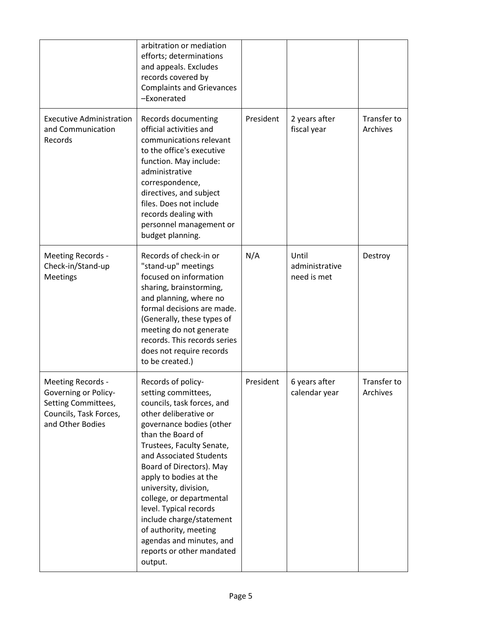|                                                                                                                | arbitration or mediation<br>efforts; determinations<br>and appeals. Excludes<br>records covered by<br><b>Complaints and Grievances</b><br>-Exonerated                                                                                                                                                                                                                                                                                                                   |           |                                        |                         |
|----------------------------------------------------------------------------------------------------------------|-------------------------------------------------------------------------------------------------------------------------------------------------------------------------------------------------------------------------------------------------------------------------------------------------------------------------------------------------------------------------------------------------------------------------------------------------------------------------|-----------|----------------------------------------|-------------------------|
| <b>Executive Administration</b><br>and Communication<br>Records                                                | <b>Records documenting</b><br>official activities and<br>communications relevant<br>to the office's executive<br>function. May include:<br>administrative<br>correspondence,<br>directives, and subject<br>files. Does not include<br>records dealing with<br>personnel management or<br>budget planning.                                                                                                                                                               | President | 2 years after<br>fiscal year           | Transfer to<br>Archives |
| Meeting Records -<br>Check-in/Stand-up<br><b>Meetings</b>                                                      | Records of check-in or<br>"stand-up" meetings<br>focused on information<br>sharing, brainstorming,<br>and planning, where no<br>formal decisions are made.<br>(Generally, these types of<br>meeting do not generate<br>records. This records series<br>does not require records<br>to be created.)                                                                                                                                                                      | N/A       | Until<br>administrative<br>need is met | Destroy                 |
| Meeting Records -<br>Governing or Policy-<br>Setting Committees,<br>Councils, Task Forces,<br>and Other Bodies | Records of policy-<br>setting committees,<br>councils, task forces, and<br>other deliberative or<br>governance bodies (other<br>than the Board of<br>Trustees, Faculty Senate,<br>and Associated Students<br>Board of Directors). May<br>apply to bodies at the<br>university, division,<br>college, or departmental<br>level. Typical records<br>include charge/statement<br>of authority, meeting<br>agendas and minutes, and<br>reports or other mandated<br>output. | President | 6 years after<br>calendar year         | Transfer to<br>Archives |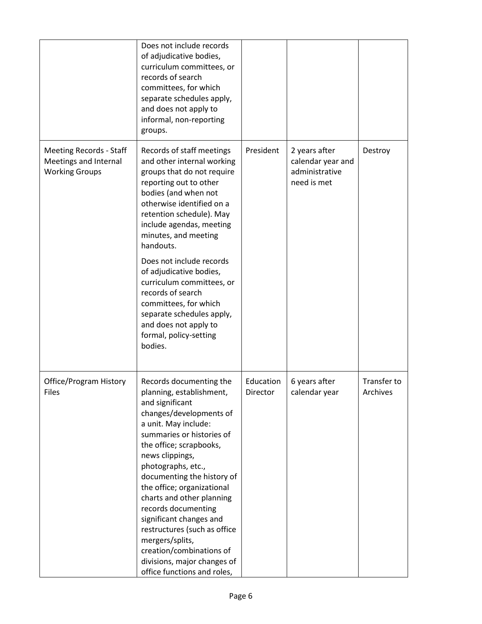|                                                                                  | Does not include records<br>of adjudicative bodies,<br>curriculum committees, or<br>records of search<br>committees, for which<br>separate schedules apply,<br>and does not apply to<br>informal, non-reporting<br>groups.                                                                                                                                                                                                                                                                                         |                       |                                                                     |                         |
|----------------------------------------------------------------------------------|--------------------------------------------------------------------------------------------------------------------------------------------------------------------------------------------------------------------------------------------------------------------------------------------------------------------------------------------------------------------------------------------------------------------------------------------------------------------------------------------------------------------|-----------------------|---------------------------------------------------------------------|-------------------------|
| <b>Meeting Records - Staff</b><br>Meetings and Internal<br><b>Working Groups</b> | Records of staff meetings<br>and other internal working<br>groups that do not require<br>reporting out to other<br>bodies (and when not<br>otherwise identified on a<br>retention schedule). May<br>include agendas, meeting<br>minutes, and meeting<br>handouts.<br>Does not include records<br>of adjudicative bodies,<br>curriculum committees, or<br>records of search<br>committees, for which<br>separate schedules apply,<br>and does not apply to<br>formal, policy-setting<br>bodies.                     | President             | 2 years after<br>calendar year and<br>administrative<br>need is met | Destroy                 |
| Office/Program History<br><b>Files</b>                                           | Records documenting the<br>planning, establishment,<br>and significant<br>changes/developments of<br>a unit. May include:<br>summaries or histories of<br>the office; scrapbooks,<br>news clippings,<br>photographs, etc.,<br>documenting the history of<br>the office; organizational<br>charts and other planning<br>records documenting<br>significant changes and<br>restructures (such as office<br>mergers/splits,<br>creation/combinations of<br>divisions, major changes of<br>office functions and roles, | Education<br>Director | 6 years after<br>calendar year                                      | Transfer to<br>Archives |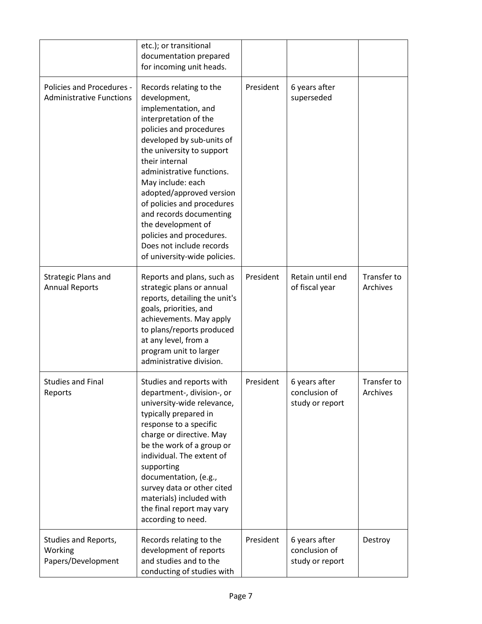|                                                              | etc.); or transitional<br>documentation prepared<br>for incoming unit heads.                                                                                                                                                                                                                                                                                                                                                                        |           |                                                   |                         |
|--------------------------------------------------------------|-----------------------------------------------------------------------------------------------------------------------------------------------------------------------------------------------------------------------------------------------------------------------------------------------------------------------------------------------------------------------------------------------------------------------------------------------------|-----------|---------------------------------------------------|-------------------------|
| Policies and Procedures -<br><b>Administrative Functions</b> | Records relating to the<br>development,<br>implementation, and<br>interpretation of the<br>policies and procedures<br>developed by sub-units of<br>the university to support<br>their internal<br>administrative functions.<br>May include: each<br>adopted/approved version<br>of policies and procedures<br>and records documenting<br>the development of<br>policies and procedures.<br>Does not include records<br>of university-wide policies. | President | 6 years after<br>superseded                       |                         |
| Strategic Plans and<br><b>Annual Reports</b>                 | Reports and plans, such as<br>strategic plans or annual<br>reports, detailing the unit's<br>goals, priorities, and<br>achievements. May apply<br>to plans/reports produced<br>at any level, from a<br>program unit to larger<br>administrative division.                                                                                                                                                                                            | President | Retain until end<br>of fiscal year                | Transfer to<br>Archives |
| <b>Studies and Final</b><br>Reports                          | Studies and reports with<br>department-, division-, or<br>university-wide relevance,<br>typically prepared in<br>response to a specific<br>charge or directive. May<br>be the work of a group or<br>individual. The extent of<br>supporting<br>documentation, (e.g.,<br>survey data or other cited<br>materials) included with<br>the final report may vary<br>according to need.                                                                   | President | 6 years after<br>conclusion of<br>study or report | Transfer to<br>Archives |
| Studies and Reports,<br>Working<br>Papers/Development        | Records relating to the<br>development of reports<br>and studies and to the<br>conducting of studies with                                                                                                                                                                                                                                                                                                                                           | President | 6 years after<br>conclusion of<br>study or report | Destroy                 |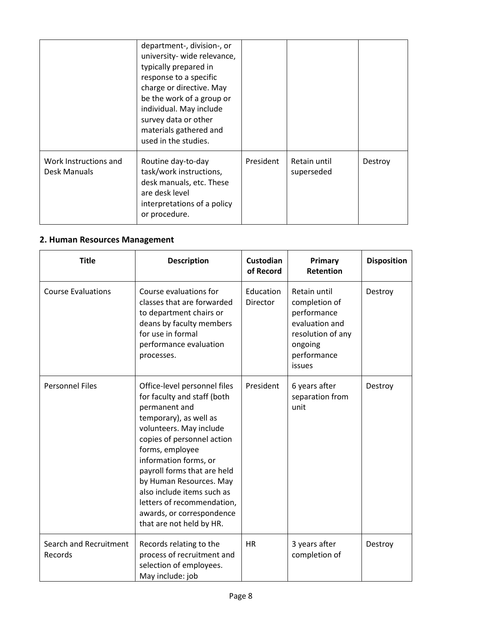|                                       | department-, division-, or<br>university- wide relevance,<br>typically prepared in<br>response to a specific<br>charge or directive. May<br>be the work of a group or<br>individual. May include<br>survey data or other<br>materials gathered and<br>used in the studies. |           |                            |         |
|---------------------------------------|----------------------------------------------------------------------------------------------------------------------------------------------------------------------------------------------------------------------------------------------------------------------------|-----------|----------------------------|---------|
| Work Instructions and<br>Desk Manuals | Routine day-to-day<br>task/work instructions,<br>desk manuals, etc. These<br>are desk level<br>interpretations of a policy<br>or procedure.                                                                                                                                | President | Retain until<br>superseded | Destroy |

#### **2. Human Resources Management**

| <b>Title</b>                      | <b>Description</b>                                                                                                                                                                                                                                                                                                                                                                         | Custodian<br>of Record | Primary<br>Retention                                                                                                    | <b>Disposition</b> |
|-----------------------------------|--------------------------------------------------------------------------------------------------------------------------------------------------------------------------------------------------------------------------------------------------------------------------------------------------------------------------------------------------------------------------------------------|------------------------|-------------------------------------------------------------------------------------------------------------------------|--------------------|
| <b>Course Evaluations</b>         | Course evaluations for<br>classes that are forwarded<br>to department chairs or<br>deans by faculty members<br>for use in formal<br>performance evaluation<br>processes.                                                                                                                                                                                                                   | Education<br>Director  | Retain until<br>completion of<br>performance<br>evaluation and<br>resolution of any<br>ongoing<br>performance<br>issues | Destroy            |
| <b>Personnel Files</b>            | Office-level personnel files<br>for faculty and staff (both<br>permanent and<br>temporary), as well as<br>volunteers. May include<br>copies of personnel action<br>forms, employee<br>information forms, or<br>payroll forms that are held<br>by Human Resources. May<br>also include items such as<br>letters of recommendation,<br>awards, or correspondence<br>that are not held by HR. | President              | 6 years after<br>separation from<br>unit                                                                                | Destroy            |
| Search and Recruitment<br>Records | Records relating to the<br>process of recruitment and<br>selection of employees.<br>May include: job                                                                                                                                                                                                                                                                                       | <b>HR</b>              | 3 years after<br>completion of                                                                                          | Destroy            |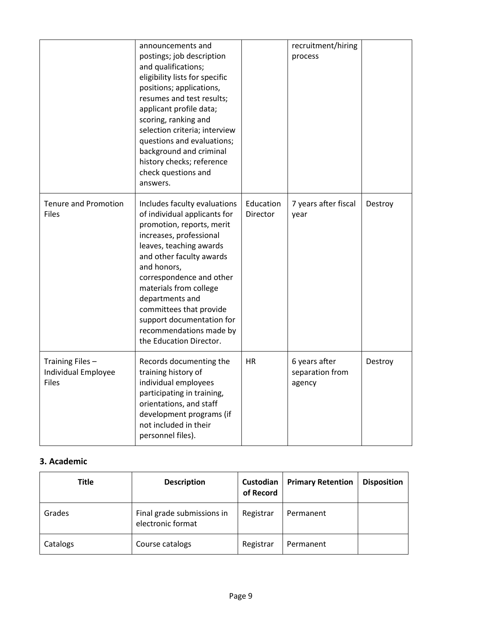|                                                         | announcements and<br>postings; job description<br>and qualifications;<br>eligibility lists for specific<br>positions; applications,<br>resumes and test results;<br>applicant profile data;<br>scoring, ranking and<br>selection criteria; interview<br>questions and evaluations;<br>background and criminal<br>history checks; reference<br>check questions and<br>answers.     |                       | recruitment/hiring<br>process              |         |
|---------------------------------------------------------|-----------------------------------------------------------------------------------------------------------------------------------------------------------------------------------------------------------------------------------------------------------------------------------------------------------------------------------------------------------------------------------|-----------------------|--------------------------------------------|---------|
| <b>Tenure and Promotion</b><br><b>Files</b>             | Includes faculty evaluations<br>of individual applicants for<br>promotion, reports, merit<br>increases, professional<br>leaves, teaching awards<br>and other faculty awards<br>and honors,<br>correspondence and other<br>materials from college<br>departments and<br>committees that provide<br>support documentation for<br>recommendations made by<br>the Education Director. | Education<br>Director | 7 years after fiscal<br>year               | Destroy |
| Training Files -<br>Individual Employee<br><b>Files</b> | Records documenting the<br>training history of<br>individual employees<br>participating in training,<br>orientations, and staff<br>development programs (if<br>not included in their<br>personnel files).                                                                                                                                                                         | <b>HR</b>             | 6 years after<br>separation from<br>agency | Destroy |

## **3. Academic**

| <b>Title</b> | <b>Description</b>                              | Custodian<br>of Record | <b>Primary Retention</b> | <b>Disposition</b> |
|--------------|-------------------------------------------------|------------------------|--------------------------|--------------------|
| Grades       | Final grade submissions in<br>electronic format | Registrar              | Permanent                |                    |
| Catalogs     | Course catalogs                                 | Registrar              | Permanent                |                    |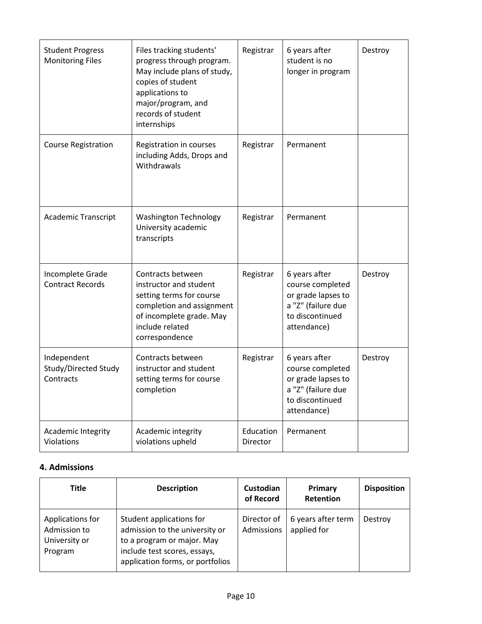| <b>Student Progress</b><br><b>Monitoring Files</b> | Files tracking students'<br>progress through program.<br>May include plans of study,<br>copies of student<br>applications to<br>major/program, and<br>records of student<br>internships | Registrar             | 6 years after<br>student is no<br>longer in program                                                             | Destroy |
|----------------------------------------------------|-----------------------------------------------------------------------------------------------------------------------------------------------------------------------------------------|-----------------------|-----------------------------------------------------------------------------------------------------------------|---------|
| <b>Course Registration</b>                         | Registration in courses<br>including Adds, Drops and<br>Withdrawals                                                                                                                     | Registrar             | Permanent                                                                                                       |         |
| Academic Transcript                                | <b>Washington Technology</b><br>University academic<br>transcripts                                                                                                                      | Registrar             | Permanent                                                                                                       |         |
| Incomplete Grade<br><b>Contract Records</b>        | Contracts between<br>instructor and student<br>setting terms for course<br>completion and assignment<br>of incomplete grade. May<br>include related<br>correspondence                   | Registrar             | 6 years after<br>course completed<br>or grade lapses to<br>a "Z" (failure due<br>to discontinued<br>attendance) | Destroy |
| Independent<br>Study/Directed Study<br>Contracts   | Contracts between<br>instructor and student<br>setting terms for course<br>completion                                                                                                   | Registrar             | 6 years after<br>course completed<br>or grade lapses to<br>a "Z" (failure due<br>to discontinued<br>attendance) | Destroy |
| Academic Integrity<br>Violations                   | Academic integrity<br>violations upheld                                                                                                                                                 | Education<br>Director | Permanent                                                                                                       |         |

### **4. Admissions**

| <b>Title</b>                                                 | <b>Description</b>                                                                                                                                           | Custodian<br>of Record    | Primary<br>Retention              | <b>Disposition</b> |
|--------------------------------------------------------------|--------------------------------------------------------------------------------------------------------------------------------------------------------------|---------------------------|-----------------------------------|--------------------|
| Applications for<br>Admission to<br>University or<br>Program | Student applications for<br>admission to the university or<br>to a program or major. May<br>include test scores, essays,<br>application forms, or portfolios | Director of<br>Admissions | 6 years after term<br>applied for | Destroy            |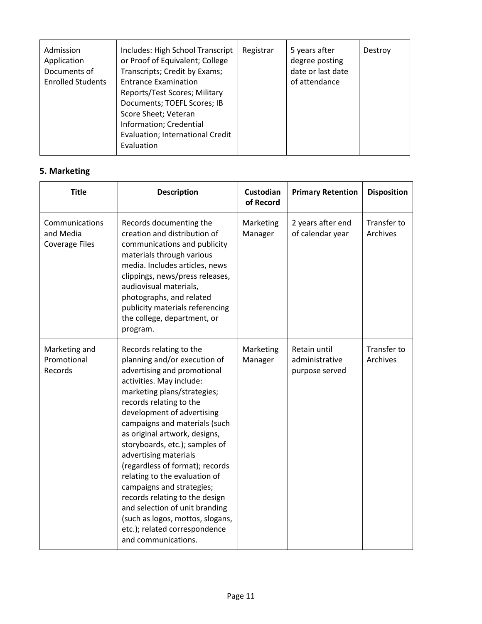| Admission<br>Application<br>Documents of<br><b>Enrolled Students</b> | Includes: High School Transcript<br>or Proof of Equivalent; College<br>Transcripts; Credit by Exams;<br><b>Entrance Examination</b><br>Reports/Test Scores; Military<br>Documents; TOEFL Scores; IB<br>Score Sheet; Veteran<br>Information; Credential<br>Evaluation; International Credit<br>Evaluation | Registrar | 5 years after<br>degree posting<br>date or last date<br>of attendance | Destroy |
|----------------------------------------------------------------------|----------------------------------------------------------------------------------------------------------------------------------------------------------------------------------------------------------------------------------------------------------------------------------------------------------|-----------|-----------------------------------------------------------------------|---------|
|----------------------------------------------------------------------|----------------------------------------------------------------------------------------------------------------------------------------------------------------------------------------------------------------------------------------------------------------------------------------------------------|-----------|-----------------------------------------------------------------------|---------|

# **5. Marketing**

| <b>Title</b>                                         | <b>Description</b>                                                                                                                                                                                                                                                                                                                                                                                                                                                                                                                                                                                       | <b>Custodian</b><br>of Record | <b>Primary Retention</b>                         | <b>Disposition</b>             |
|------------------------------------------------------|----------------------------------------------------------------------------------------------------------------------------------------------------------------------------------------------------------------------------------------------------------------------------------------------------------------------------------------------------------------------------------------------------------------------------------------------------------------------------------------------------------------------------------------------------------------------------------------------------------|-------------------------------|--------------------------------------------------|--------------------------------|
| Communications<br>and Media<br><b>Coverage Files</b> | Records documenting the<br>creation and distribution of<br>communications and publicity<br>materials through various<br>media. Includes articles, news<br>clippings, news/press releases,<br>audiovisual materials,<br>photographs, and related<br>publicity materials referencing<br>the college, department, or<br>program.                                                                                                                                                                                                                                                                            | Marketing<br>Manager          | 2 years after end<br>of calendar year            | <b>Transfer to</b><br>Archives |
| Marketing and<br>Promotional<br>Records              | Records relating to the<br>planning and/or execution of<br>advertising and promotional<br>activities. May include:<br>marketing plans/strategies;<br>records relating to the<br>development of advertising<br>campaigns and materials (such<br>as original artwork, designs,<br>storyboards, etc.); samples of<br>advertising materials<br>(regardless of format); records<br>relating to the evaluation of<br>campaigns and strategies;<br>records relating to the design<br>and selection of unit branding<br>(such as logos, mottos, slogans,<br>etc.); related correspondence<br>and communications. | Marketing<br>Manager          | Retain until<br>administrative<br>purpose served | Transfer to<br>Archives        |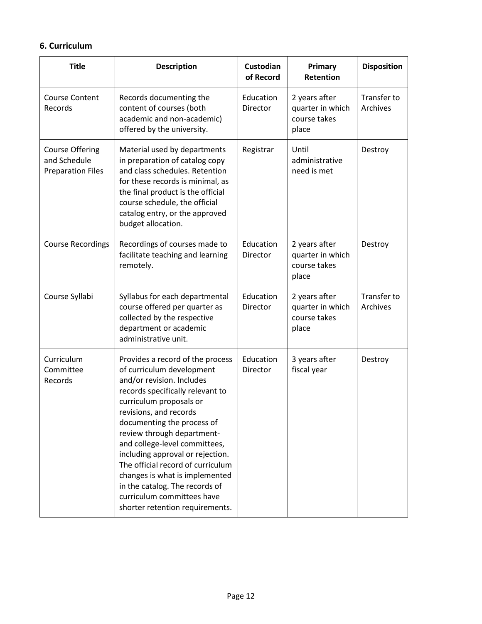#### **6. Curriculum**

| <b>Title</b>                                                       | <b>Description</b>                                                                                                                                                                                                                                                                                                                                                                                                                                                                             | Custodian<br>of Record | Primary<br><b>Retention</b>                                | <b>Disposition</b>      |
|--------------------------------------------------------------------|------------------------------------------------------------------------------------------------------------------------------------------------------------------------------------------------------------------------------------------------------------------------------------------------------------------------------------------------------------------------------------------------------------------------------------------------------------------------------------------------|------------------------|------------------------------------------------------------|-------------------------|
| <b>Course Content</b><br>Records                                   | Records documenting the<br>content of courses (both<br>academic and non-academic)<br>offered by the university.                                                                                                                                                                                                                                                                                                                                                                                | Education<br>Director  | 2 years after<br>quarter in which<br>course takes<br>place | Transfer to<br>Archives |
| <b>Course Offering</b><br>and Schedule<br><b>Preparation Files</b> | Material used by departments<br>in preparation of catalog copy<br>and class schedules. Retention<br>for these records is minimal, as<br>the final product is the official<br>course schedule, the official<br>catalog entry, or the approved<br>budget allocation.                                                                                                                                                                                                                             | Registrar              | Until<br>administrative<br>need is met                     | Destroy                 |
| <b>Course Recordings</b>                                           | Recordings of courses made to<br>facilitate teaching and learning<br>remotely.                                                                                                                                                                                                                                                                                                                                                                                                                 | Education<br>Director  | 2 years after<br>quarter in which<br>course takes<br>place | Destroy                 |
| Course Syllabi                                                     | Syllabus for each departmental<br>course offered per quarter as<br>collected by the respective<br>department or academic<br>administrative unit.                                                                                                                                                                                                                                                                                                                                               | Education<br>Director  | 2 years after<br>quarter in which<br>course takes<br>place | Transfer to<br>Archives |
| Curriculum<br>Committee<br>Records                                 | Provides a record of the process<br>of curriculum development<br>and/or revision. Includes<br>records specifically relevant to<br>curriculum proposals or<br>revisions, and records<br>documenting the process of<br>review through department-<br>and college-level committees,<br>including approval or rejection.<br>The official record of curriculum<br>changes is what is implemented<br>in the catalog. The records of<br>curriculum committees have<br>shorter retention requirements. | Education<br>Director  | 3 years after<br>fiscal year                               | Destroy                 |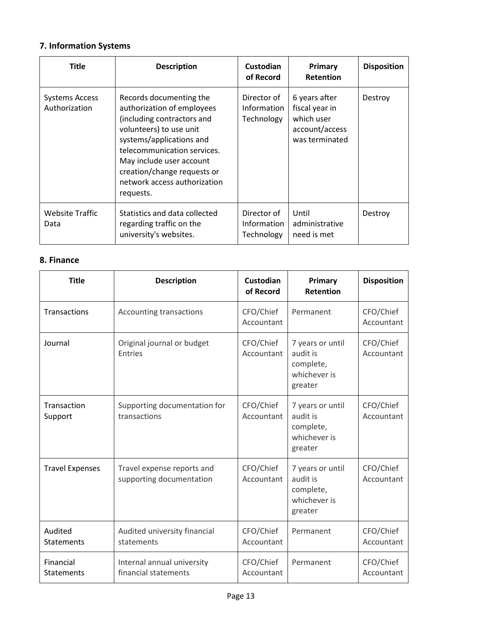# **7. Information Systems**

| <b>Title</b>                           | <b>Description</b>                                                                                                                                                                                                                                                                | <b>Custodian</b><br>of Record            | Primary<br><b>Retention</b>                                                       | <b>Disposition</b> |
|----------------------------------------|-----------------------------------------------------------------------------------------------------------------------------------------------------------------------------------------------------------------------------------------------------------------------------------|------------------------------------------|-----------------------------------------------------------------------------------|--------------------|
| <b>Systems Access</b><br>Authorization | Records documenting the<br>authorization of employees<br>(including contractors and<br>volunteers) to use unit<br>systems/applications and<br>telecommunication services.<br>May include user account<br>creation/change requests or<br>network access authorization<br>requests. | Director of<br>Information<br>Technology | 6 years after<br>fiscal year in<br>which user<br>account/access<br>was terminated | Destroy            |
| <b>Website Traffic</b><br>Data         | Statistics and data collected<br>regarding traffic on the<br>university's websites.                                                                                                                                                                                               | Director of<br>Information<br>Technology | Until<br>administrative<br>need is met                                            | Destroy            |

#### **8. Finance**

| <b>Title</b>                   | <b>Description</b>                                     | Custodian<br>of Record  | Primary<br>Retention                                                 | <b>Disposition</b>      |
|--------------------------------|--------------------------------------------------------|-------------------------|----------------------------------------------------------------------|-------------------------|
| Transactions                   | Accounting transactions                                | CFO/Chief<br>Accountant | Permanent                                                            | CFO/Chief<br>Accountant |
| Journal                        | Original journal or budget<br><b>Entries</b>           | CFO/Chief<br>Accountant | 7 years or until<br>audit is<br>complete,<br>whichever is<br>greater | CFO/Chief<br>Accountant |
| Transaction<br>Support         | Supporting documentation for<br>transactions           | CFO/Chief<br>Accountant | 7 years or until<br>audit is<br>complete,<br>whichever is<br>greater | CFO/Chief<br>Accountant |
| <b>Travel Expenses</b>         | Travel expense reports and<br>supporting documentation | CFO/Chief<br>Accountant | 7 years or until<br>audit is<br>complete,<br>whichever is<br>greater | CFO/Chief<br>Accountant |
| Audited<br>Statements          | Audited university financial<br>statements             | CFO/Chief<br>Accountant | Permanent                                                            | CFO/Chief<br>Accountant |
| Financial<br><b>Statements</b> | Internal annual university<br>financial statements     | CFO/Chief<br>Accountant | Permanent                                                            | CFO/Chief<br>Accountant |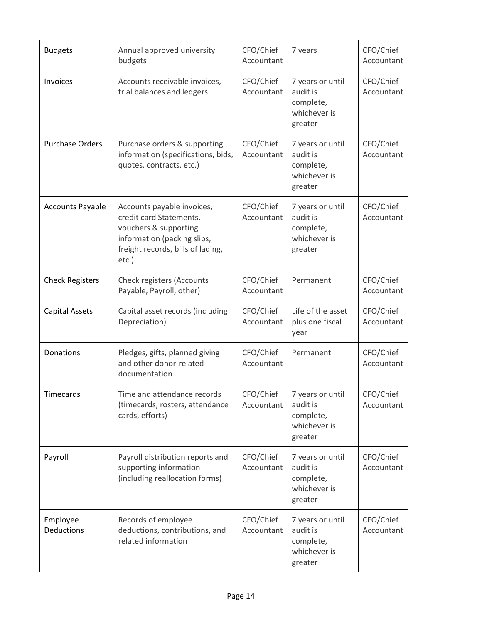| <b>Budgets</b>          | Annual approved university<br>budgets                                                                                                                          | CFO/Chief<br>Accountant | 7 years                                                              | CFO/Chief<br>Accountant |
|-------------------------|----------------------------------------------------------------------------------------------------------------------------------------------------------------|-------------------------|----------------------------------------------------------------------|-------------------------|
| Invoices                | Accounts receivable invoices,<br>trial balances and ledgers                                                                                                    | CFO/Chief<br>Accountant | 7 years or until<br>audit is<br>complete,<br>whichever is<br>greater | CFO/Chief<br>Accountant |
| <b>Purchase Orders</b>  | Purchase orders & supporting<br>information (specifications, bids,<br>quotes, contracts, etc.)                                                                 | CFO/Chief<br>Accountant | 7 years or until<br>audit is<br>complete,<br>whichever is<br>greater | CFO/Chief<br>Accountant |
| <b>Accounts Payable</b> | Accounts payable invoices,<br>credit card Statements,<br>vouchers & supporting<br>information (packing slips,<br>freight records, bills of lading,<br>$etc.$ ) | CFO/Chief<br>Accountant | 7 years or until<br>audit is<br>complete,<br>whichever is<br>greater | CFO/Chief<br>Accountant |
| <b>Check Registers</b>  | Check registers (Accounts<br>Payable, Payroll, other)                                                                                                          | CFO/Chief<br>Accountant | Permanent                                                            | CFO/Chief<br>Accountant |
| <b>Capital Assets</b>   | Capital asset records (including<br>Depreciation)                                                                                                              | CFO/Chief<br>Accountant | Life of the asset<br>plus one fiscal<br>year                         | CFO/Chief<br>Accountant |
| Donations               | Pledges, gifts, planned giving<br>and other donor-related<br>documentation                                                                                     | CFO/Chief<br>Accountant | Permanent                                                            | CFO/Chief<br>Accountant |
| Timecards               | Time and attendance records<br>(timecards, rosters, attendance<br>cards, efforts)                                                                              | CFO/Chief<br>Accountant | 7 years or until<br>audit is<br>complete,<br>whichever is<br>greater | CFO/Chief<br>Accountant |
| Payroll                 | Payroll distribution reports and<br>supporting information<br>(including reallocation forms)                                                                   | CFO/Chief<br>Accountant | 7 years or until<br>audit is<br>complete,<br>whichever is<br>greater | CFO/Chief<br>Accountant |
| Employee<br>Deductions  | Records of employee<br>deductions, contributions, and<br>related information                                                                                   | CFO/Chief<br>Accountant | 7 years or until<br>audit is<br>complete,<br>whichever is<br>greater | CFO/Chief<br>Accountant |